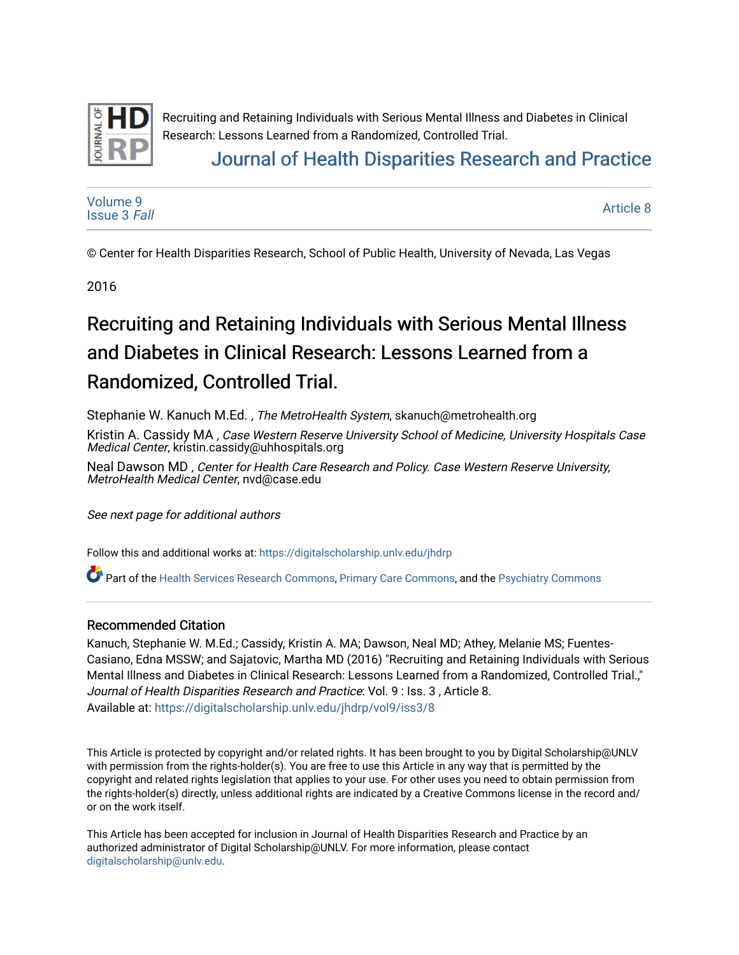

# [Journal of Health Disparities Research and Practice](https://digitalscholarship.unlv.edu/jhdrp)

[Volume 9](https://digitalscholarship.unlv.edu/jhdrp/vol9) [Issue 3](https://digitalscholarship.unlv.edu/jhdrp/vol9/iss3) Fall

[Article 8](https://digitalscholarship.unlv.edu/jhdrp/vol9/iss3/8) 

© Center for Health Disparities Research, School of Public Health, University of Nevada, Las Vegas

2016

# Recruiting and Retaining Individuals with Serious Mental Illness and Diabetes in Clinical Research: Lessons Learned from a Randomized, Controlled Trial.

Stephanie W. Kanuch M.Ed., The MetroHealth System, skanuch@metrohealth.org

Kristin A. Cassidy MA , Case Western Reserve University School of Medicine, University Hospitals Case Medical Center, kristin.cassidy@uhhospitals.org

Neal Dawson MD , Center for Health Care Research and Policy. Case Western Reserve University, MetroHealth Medical Center, nvd@case.edu

See next page for additional authors

Follow this and additional works at: [https://digitalscholarship.unlv.edu/jhdrp](https://digitalscholarship.unlv.edu/jhdrp?utm_source=digitalscholarship.unlv.edu%2Fjhdrp%2Fvol9%2Fiss3%2F8&utm_medium=PDF&utm_campaign=PDFCoverPages) 

Part of the [Health Services Research Commons,](http://network.bepress.com/hgg/discipline/816?utm_source=digitalscholarship.unlv.edu%2Fjhdrp%2Fvol9%2Fiss3%2F8&utm_medium=PDF&utm_campaign=PDFCoverPages) [Primary Care Commons](http://network.bepress.com/hgg/discipline/1092?utm_source=digitalscholarship.unlv.edu%2Fjhdrp%2Fvol9%2Fiss3%2F8&utm_medium=PDF&utm_campaign=PDFCoverPages), and the [Psychiatry Commons](http://network.bepress.com/hgg/discipline/704?utm_source=digitalscholarship.unlv.edu%2Fjhdrp%2Fvol9%2Fiss3%2F8&utm_medium=PDF&utm_campaign=PDFCoverPages)

#### Recommended Citation

Kanuch, Stephanie W. M.Ed.; Cassidy, Kristin A. MA; Dawson, Neal MD; Athey, Melanie MS; Fuentes-Casiano, Edna MSSW; and Sajatovic, Martha MD (2016) "Recruiting and Retaining Individuals with Serious Mental Illness and Diabetes in Clinical Research: Lessons Learned from a Randomized, Controlled Trial.," Journal of Health Disparities Research and Practice: Vol. 9 : Iss. 3 , Article 8. Available at: [https://digitalscholarship.unlv.edu/jhdrp/vol9/iss3/8](https://digitalscholarship.unlv.edu/jhdrp/vol9/iss3/8?utm_source=digitalscholarship.unlv.edu%2Fjhdrp%2Fvol9%2Fiss3%2F8&utm_medium=PDF&utm_campaign=PDFCoverPages)

This Article is protected by copyright and/or related rights. It has been brought to you by Digital Scholarship@UNLV with permission from the rights-holder(s). You are free to use this Article in any way that is permitted by the copyright and related rights legislation that applies to your use. For other uses you need to obtain permission from the rights-holder(s) directly, unless additional rights are indicated by a Creative Commons license in the record and/ or on the work itself.

This Article has been accepted for inclusion in Journal of Health Disparities Research and Practice by an authorized administrator of Digital Scholarship@UNLV. For more information, please contact [digitalscholarship@unlv.edu](mailto:digitalscholarship@unlv.edu).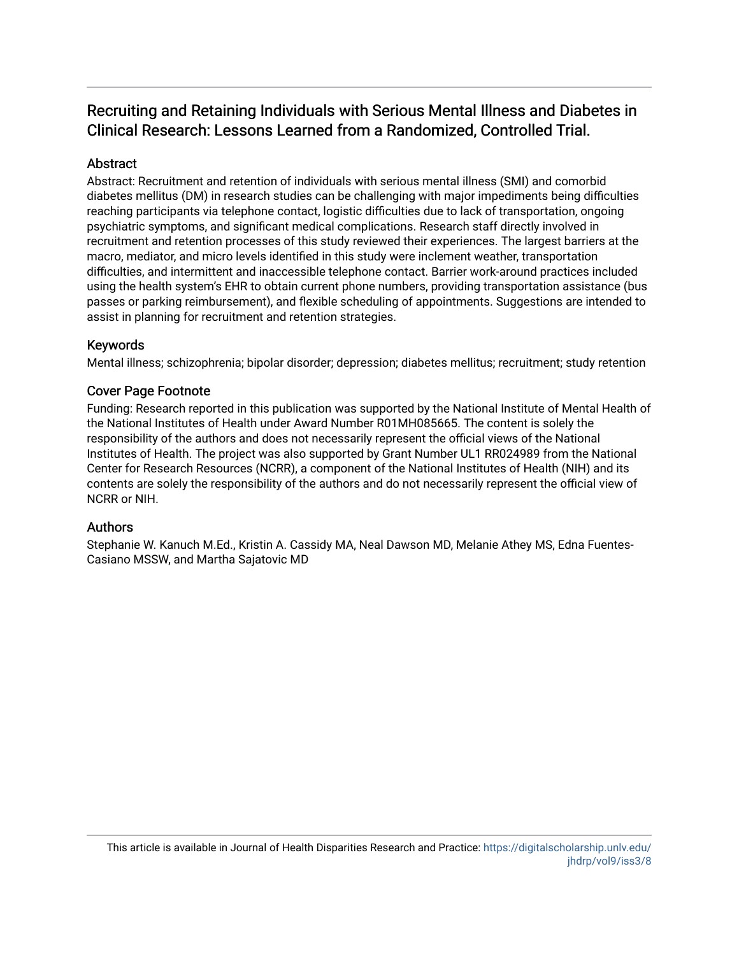#### **Abstract**

Abstract: Recruitment and retention of individuals with serious mental illness (SMI) and comorbid diabetes mellitus (DM) in research studies can be challenging with major impediments being difficulties reaching participants via telephone contact, logistic difficulties due to lack of transportation, ongoing psychiatric symptoms, and significant medical complications. Research staff directly involved in recruitment and retention processes of this study reviewed their experiences. The largest barriers at the macro, mediator, and micro levels identified in this study were inclement weather, transportation difficulties, and intermittent and inaccessible telephone contact. Barrier work-around practices included using the health system's EHR to obtain current phone numbers, providing transportation assistance (bus passes or parking reimbursement), and flexible scheduling of appointments. Suggestions are intended to assist in planning for recruitment and retention strategies.

#### Keywords

Mental illness; schizophrenia; bipolar disorder; depression; diabetes mellitus; recruitment; study retention

#### Cover Page Footnote

Funding: Research reported in this publication was supported by the National Institute of Mental Health of the National Institutes of Health under Award Number R01MH085665. The content is solely the responsibility of the authors and does not necessarily represent the official views of the National Institutes of Health. The project was also supported by Grant Number UL1 RR024989 from the National Center for Research Resources (NCRR), a component of the National Institutes of Health (NIH) and its contents are solely the responsibility of the authors and do not necessarily represent the official view of NCRR or NIH.

#### Authors

Stephanie W. Kanuch M.Ed., Kristin A. Cassidy MA, Neal Dawson MD, Melanie Athey MS, Edna Fuentes-Casiano MSSW, and Martha Sajatovic MD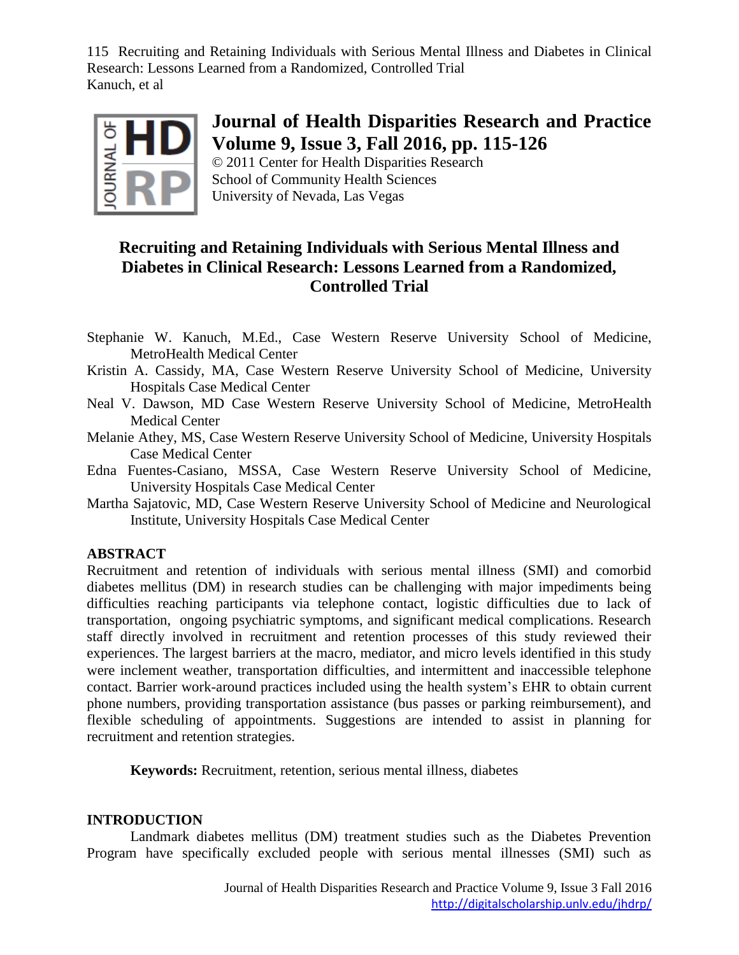

## **Journal of Health Disparities Research and Practice Volume 9, Issue 3, Fall 2016, pp. 115-126**

© 2011 Center for Health Disparities Research School of Community Health Sciences University of Nevada, Las Vegas

### **Recruiting and Retaining Individuals with Serious Mental Illness and Diabetes in Clinical Research: Lessons Learned from a Randomized, Controlled Trial**

- Stephanie W. Kanuch, M.Ed., Case Western Reserve University School of Medicine, MetroHealth Medical Center
- Kristin A. Cassidy, MA, Case Western Reserve University School of Medicine, University Hospitals Case Medical Center
- Neal V. Dawson, MD Case Western Reserve University School of Medicine, MetroHealth Medical Center
- Melanie Athey, MS, Case Western Reserve University School of Medicine, University Hospitals Case Medical Center
- Edna Fuentes-Casiano, MSSA, Case Western Reserve University School of Medicine, University Hospitals Case Medical Center
- Martha Sajatovic, MD, Case Western Reserve University School of Medicine and Neurological Institute, University Hospitals Case Medical Center

### **ABSTRACT**

Recruitment and retention of individuals with serious mental illness (SMI) and comorbid diabetes mellitus (DM) in research studies can be challenging with major impediments being difficulties reaching participants via telephone contact, logistic difficulties due to lack of transportation, ongoing psychiatric symptoms, and significant medical complications. Research staff directly involved in recruitment and retention processes of this study reviewed their experiences. The largest barriers at the macro, mediator, and micro levels identified in this study were inclement weather, transportation difficulties, and intermittent and inaccessible telephone contact. Barrier work-around practices included using the health system's EHR to obtain current phone numbers, providing transportation assistance (bus passes or parking reimbursement), and flexible scheduling of appointments. Suggestions are intended to assist in planning for recruitment and retention strategies.

**Keywords:** Recruitment, retention, serious mental illness, diabetes

#### **INTRODUCTION**

Landmark diabetes mellitus (DM) treatment studies such as the Diabetes Prevention Program have specifically excluded people with serious mental illnesses (SMI) such as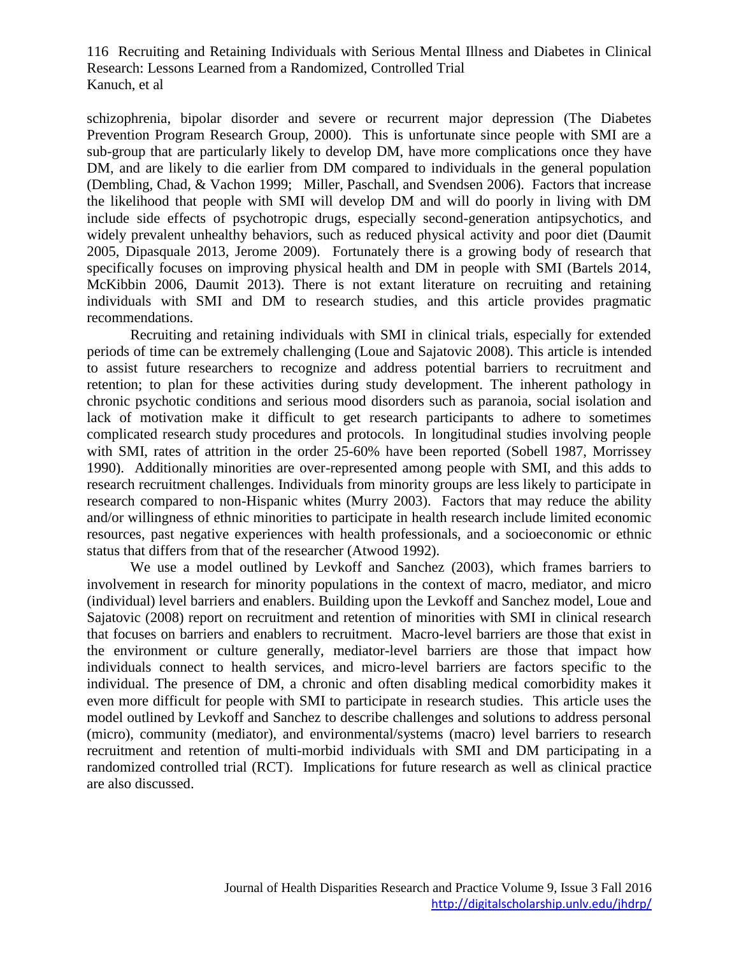schizophrenia, bipolar disorder and severe or recurrent major depression (The Diabetes Prevention Program Research Group, 2000). This is unfortunate since people with SMI are a sub-group that are particularly likely to develop DM, have more complications once they have DM, and are likely to die earlier from DM compared to individuals in the general population (Dembling, Chad, & Vachon 1999; Miller, Paschall, and Svendsen 2006). Factors that increase the likelihood that people with SMI will develop DM and will do poorly in living with DM include side effects of psychotropic drugs, especially second-generation antipsychotics, and widely prevalent unhealthy behaviors, such as reduced physical activity and poor diet (Daumit 2005, Dipasquale 2013, Jerome 2009). Fortunately there is a growing body of research that specifically focuses on improving physical health and DM in people with SMI (Bartels 2014, McKibbin 2006, Daumit 2013). There is not extant literature on recruiting and retaining individuals with SMI and DM to research studies, and this article provides pragmatic recommendations.

Recruiting and retaining individuals with SMI in clinical trials, especially for extended periods of time can be extremely challenging (Loue and Sajatovic 2008). This article is intended to assist future researchers to recognize and address potential barriers to recruitment and retention; to plan for these activities during study development. The inherent pathology in chronic psychotic conditions and serious mood disorders such as paranoia, social isolation and lack of motivation make it difficult to get research participants to adhere to sometimes complicated research study procedures and protocols. In longitudinal studies involving people with SMI, rates of attrition in the order 25-60% have been reported (Sobell 1987, Morrissey 1990). Additionally minorities are over-represented among people with SMI, and this adds to research recruitment challenges. Individuals from minority groups are less likely to participate in research compared to non-Hispanic whites (Murry 2003). Factors that may reduce the ability and/or willingness of ethnic minorities to participate in health research include limited economic resources, past negative experiences with health professionals, and a socioeconomic or ethnic status that differs from that of the researcher (Atwood 1992).

We use a model outlined by Levkoff and Sanchez (2003), which frames barriers to involvement in research for minority populations in the context of macro, mediator, and micro (individual) level barriers and enablers. Building upon the Levkoff and Sanchez model, Loue and Sajatovic (2008) report on recruitment and retention of minorities with SMI in clinical research that focuses on barriers and enablers to recruitment. Macro-level barriers are those that exist in the environment or culture generally, mediator-level barriers are those that impact how individuals connect to health services, and micro-level barriers are factors specific to the individual. The presence of DM, a chronic and often disabling medical comorbidity makes it even more difficult for people with SMI to participate in research studies. This article uses the model outlined by Levkoff and Sanchez to describe challenges and solutions to address personal (micro), community (mediator), and environmental/systems (macro) level barriers to research recruitment and retention of multi-morbid individuals with SMI and DM participating in a randomized controlled trial (RCT). Implications for future research as well as clinical practice are also discussed.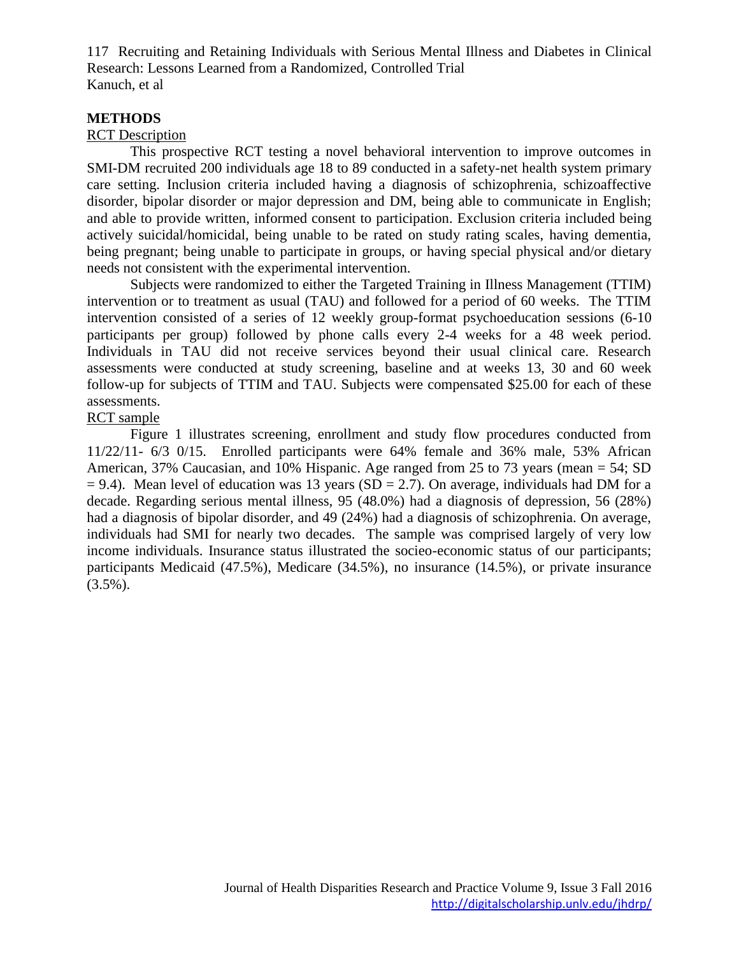#### **METHODS**

#### RCT Description

This prospective RCT testing a novel behavioral intervention to improve outcomes in SMI-DM recruited 200 individuals age 18 to 89 conducted in a safety-net health system primary care setting. Inclusion criteria included having a diagnosis of schizophrenia, schizoaffective disorder, bipolar disorder or major depression and DM, being able to communicate in English; and able to provide written, informed consent to participation. Exclusion criteria included being actively suicidal/homicidal, being unable to be rated on study rating scales, having dementia, being pregnant; being unable to participate in groups, or having special physical and/or dietary needs not consistent with the experimental intervention.

Subjects were randomized to either the Targeted Training in Illness Management (TTIM) intervention or to treatment as usual (TAU) and followed for a period of 60 weeks. The TTIM intervention consisted of a series of 12 weekly group-format psychoeducation sessions (6-10 participants per group) followed by phone calls every 2-4 weeks for a 48 week period. Individuals in TAU did not receive services beyond their usual clinical care. Research assessments were conducted at study screening, baseline and at weeks 13, 30 and 60 week follow-up for subjects of TTIM and TAU. Subjects were compensated \$25.00 for each of these assessments.

#### RCT sample

Figure 1 illustrates screening, enrollment and study flow procedures conducted from 11/22/11- 6/3 0/15. Enrolled participants were 64% female and 36% male, 53% African American, 37% Caucasian, and 10% Hispanic. Age ranged from 25 to 73 years (mean = 54; SD  $= 9.4$ ). Mean level of education was 13 years (SD  $= 2.7$ ). On average, individuals had DM for a decade. Regarding serious mental illness, 95 (48.0%) had a diagnosis of depression, 56 (28%) had a diagnosis of bipolar disorder, and 49 (24%) had a diagnosis of schizophrenia. On average, individuals had SMI for nearly two decades. The sample was comprised largely of very low income individuals. Insurance status illustrated the socieo-economic status of our participants; participants Medicaid (47.5%), Medicare (34.5%), no insurance (14.5%), or private insurance  $(3.5\%)$ .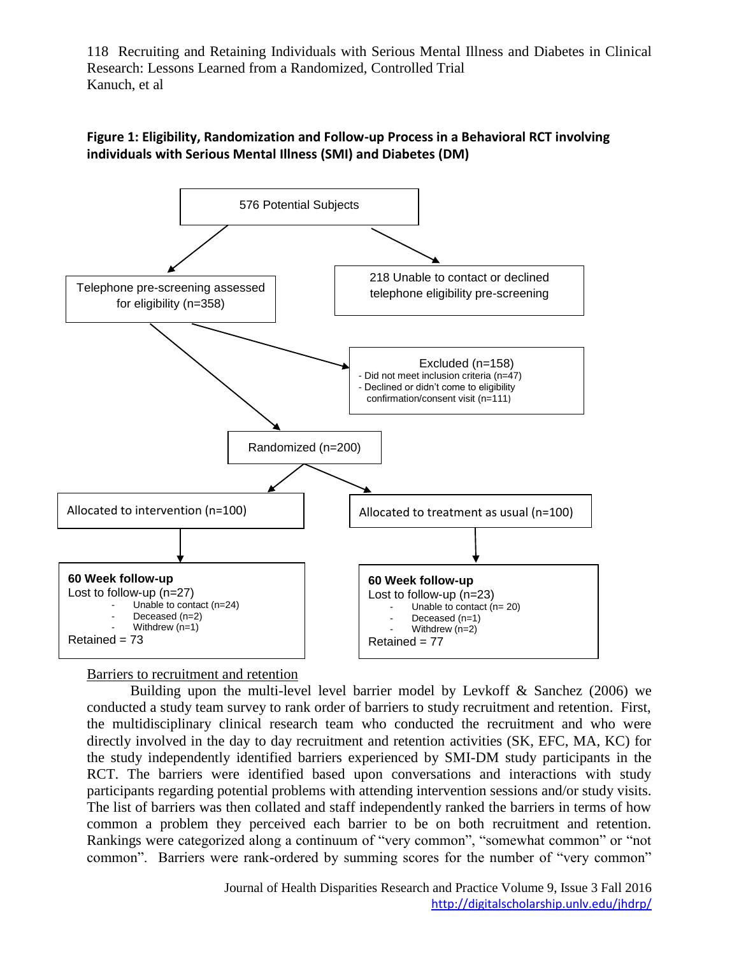

### **Figure 1: Eligibility, Randomization and Follow-up Process in a Behavioral RCT involving individuals with Serious Mental Illness (SMI) and Diabetes (DM)**

Barriers to recruitment and retention

Building upon the multi-level level barrier model by Levkoff & Sanchez (2006) we conducted a study team survey to rank order of barriers to study recruitment and retention. First, the multidisciplinary clinical research team who conducted the recruitment and who were directly involved in the day to day recruitment and retention activities (SK, EFC, MA, KC) for the study independently identified barriers experienced by SMI-DM study participants in the RCT. The barriers were identified based upon conversations and interactions with study participants regarding potential problems with attending intervention sessions and/or study visits. The list of barriers was then collated and staff independently ranked the barriers in terms of how common a problem they perceived each barrier to be on both recruitment and retention. Rankings were categorized along a continuum of "very common", "somewhat common" or "not common". Barriers were rank-ordered by summing scores for the number of "very common"

> Journal of Health Disparities Research and Practice Volume 9, Issue 3 Fall 2016 <http://digitalscholarship.unlv.edu/jhdrp/>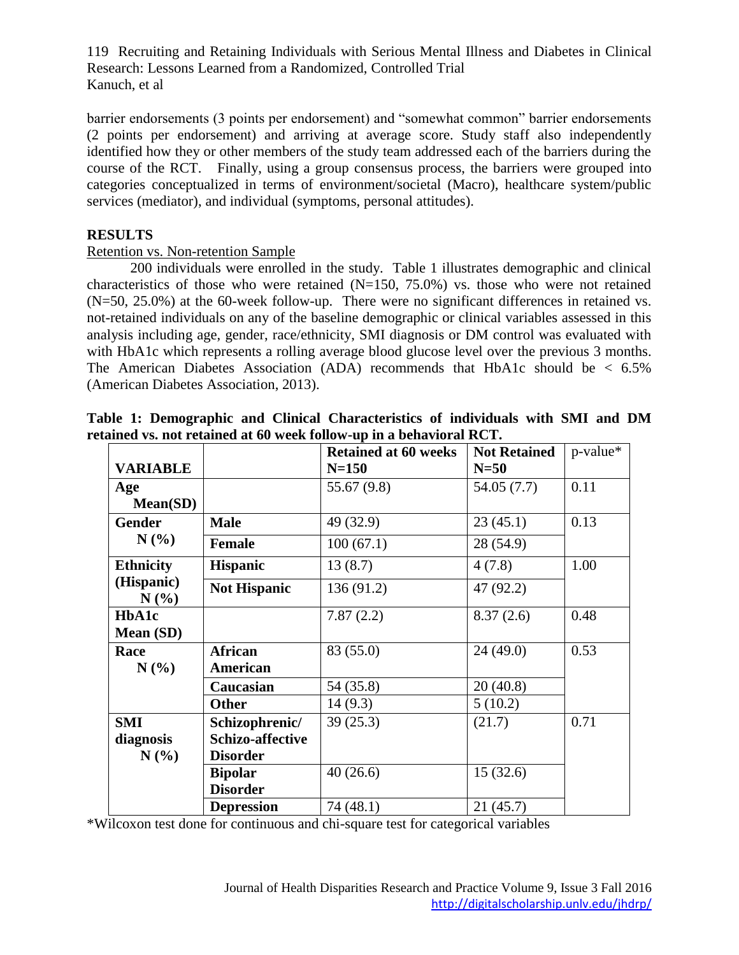barrier endorsements (3 points per endorsement) and "somewhat common" barrier endorsements (2 points per endorsement) and arriving at average score. Study staff also independently identified how they or other members of the study team addressed each of the barriers during the course of the RCT. Finally, using a group consensus process, the barriers were grouped into categories conceptualized in terms of environment/societal (Macro), healthcare system/public services (mediator), and individual (symptoms, personal attitudes).

### **RESULTS**

#### Retention vs. Non-retention Sample

200 individuals were enrolled in the study. Table 1 illustrates demographic and clinical characteristics of those who were retained  $(N=150, 75.0%)$  vs. those who were not retained (N=50, 25.0%) at the 60-week follow-up. There were no significant differences in retained vs. not-retained individuals on any of the baseline demographic or clinical variables assessed in this analysis including age, gender, race/ethnicity, SMI diagnosis or DM control was evaluated with with HbA1c which represents a rolling average blood glucose level over the previous 3 months. The American Diabetes Association (ADA) recommends that HbA1c should be  $< 6.5\%$ (American Diabetes Association, 2013).

|                    |                            | <b>Retained at 60 weeks</b> | <b>Not Retained</b> | $p$ -value* |
|--------------------|----------------------------|-----------------------------|---------------------|-------------|
| <b>VARIABLE</b>    |                            | $N = 150$                   | $N=50$              |             |
| Age                |                            | 55.67 (9.8)                 | 54.05 (7.7)         | 0.11        |
| Mean(SD)           |                            |                             |                     |             |
| <b>Gender</b>      | <b>Male</b>                | 49 (32.9)                   | 23(45.1)            | 0.13        |
| N(%                | <b>Female</b>              | 100(67.1)                   | 28 (54.9)           |             |
| <b>Ethnicity</b>   | <b>Hispanic</b>            | 13(8.7)                     | 4(7.8)              | 1.00        |
| (Hispanic)<br>N(%) | <b>Not Hispanic</b>        | 136(91.2)                   | 47 (92.2)           |             |
| HbA1c<br>Mean (SD) |                            | 7.87(2.2)                   | 8.37(2.6)           | 0.48        |
| Race<br>N(%)       | <b>African</b><br>American | 83 (55.0)                   | 24(49.0)            | 0.53        |
|                    | Caucasian                  | 54 (35.8)                   | 20(40.8)            |             |
|                    | <b>Other</b>               | 14(9.3)                     | 5(10.2)             |             |
| <b>SMI</b>         | Schizophrenic/             | 39(25.3)                    | (21.7)              | 0.71        |
| diagnosis          | <b>Schizo-affective</b>    |                             |                     |             |
| N(%                | <b>Disorder</b>            |                             |                     |             |
|                    | <b>Bipolar</b>             | 40(26.6)                    | 15(32.6)            |             |
|                    | <b>Disorder</b>            |                             |                     |             |
|                    | <b>Depression</b>          | 74 (48.1)                   | 21(45.7)            |             |

**Table 1: Demographic and Clinical Characteristics of individuals with SMI and DM retained vs. not retained at 60 week follow-up in a behavioral RCT.** 

\*Wilcoxon test done for continuous and chi-square test for categorical variables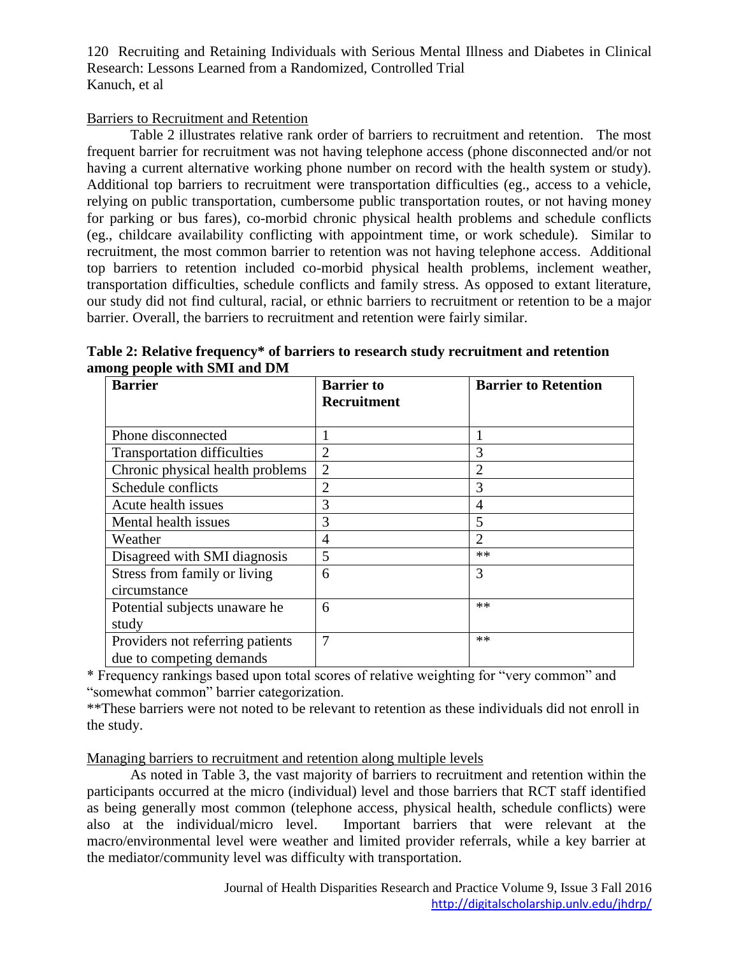#### Barriers to Recruitment and Retention

Table 2 illustrates relative rank order of barriers to recruitment and retention. The most frequent barrier for recruitment was not having telephone access (phone disconnected and/or not having a current alternative working phone number on record with the health system or study). Additional top barriers to recruitment were transportation difficulties (eg., access to a vehicle, relying on public transportation, cumbersome public transportation routes, or not having money for parking or bus fares), co-morbid chronic physical health problems and schedule conflicts (eg., childcare availability conflicting with appointment time, or work schedule). Similar to recruitment, the most common barrier to retention was not having telephone access. Additional top barriers to retention included co-morbid physical health problems, inclement weather, transportation difficulties, schedule conflicts and family stress. As opposed to extant literature, our study did not find cultural, racial, or ethnic barriers to recruitment or retention to be a major barrier. Overall, the barriers to recruitment and retention were fairly similar.

| Table 2: Relative frequency* of barriers to research study recruitment and retention |  |  |  |
|--------------------------------------------------------------------------------------|--|--|--|
| among people with SMI and DM                                                         |  |  |  |
|                                                                                      |  |  |  |

| <b>Barrier</b>                     | <b>Barrier</b> to  | <b>Barrier to Retention</b> |
|------------------------------------|--------------------|-----------------------------|
|                                    | <b>Recruitment</b> |                             |
| Phone disconnected                 |                    |                             |
| <b>Transportation difficulties</b> | $\overline{2}$     | 3                           |
| Chronic physical health problems   | $\overline{2}$     | $\overline{2}$              |
| Schedule conflicts                 | $\overline{2}$     | 3                           |
| Acute health issues                | 3                  | 4                           |
| Mental health issues               | 3                  | 5                           |
| Weather                            | $\overline{4}$     | $\overline{2}$              |
| Disagreed with SMI diagnosis       | 5                  | $**$                        |
| Stress from family or living       | 6                  | 3                           |
| circumstance                       |                    |                             |
| Potential subjects unaware he      | 6                  | **                          |
| study                              |                    |                             |
| Providers not referring patients   | $\overline{7}$     | $**$                        |
| due to competing demands           |                    |                             |

\* Frequency rankings based upon total scores of relative weighting for "very common" and "somewhat common" barrier categorization.

\*\*These barriers were not noted to be relevant to retention as these individuals did not enroll in the study.

Managing barriers to recruitment and retention along multiple levels

As noted in Table 3, the vast majority of barriers to recruitment and retention within the participants occurred at the micro (individual) level and those barriers that RCT staff identified as being generally most common (telephone access, physical health, schedule conflicts) were also at the individual/micro level. Important barriers that were relevant at the macro/environmental level were weather and limited provider referrals, while a key barrier at the mediator/community level was difficulty with transportation.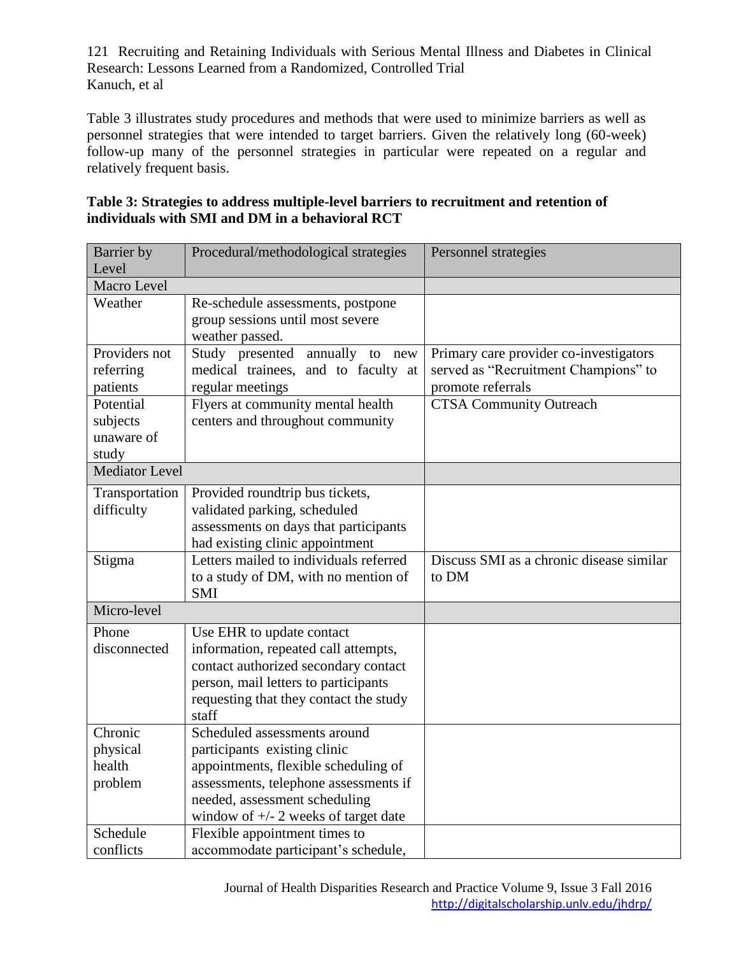Table 3 illustrates study procedures and methods that were used to minimize barriers as well as personnel strategies that were intended to target barriers. Given the relatively long (60-week) follow-up many of the personnel strategies in particular were repeated on a regular and relatively frequent basis.

| Table 3: Strategies to address multiple-level barriers to recruitment and retention of |
|----------------------------------------------------------------------------------------|
| individuals with SMI and DM in a behavioral RCT                                        |

| Barrier by<br>Level   | Procedural/methodological strategies            | Personnel strategies                     |
|-----------------------|-------------------------------------------------|------------------------------------------|
| Macro Level           |                                                 |                                          |
| Weather               | Re-schedule assessments, postpone               |                                          |
|                       | group sessions until most severe                |                                          |
|                       | weather passed.                                 |                                          |
| Providers not         | Study presented<br>annually to new              | Primary care provider co-investigators   |
| referring             | medical trainees, and to faculty at             | served as "Recruitment Champions" to     |
| patients              | regular meetings                                | promote referrals                        |
| Potential             | Flyers at community mental health               | <b>CTSA Community Outreach</b>           |
| subjects              | centers and throughout community                |                                          |
| unaware of            |                                                 |                                          |
| study                 |                                                 |                                          |
| <b>Mediator Level</b> |                                                 |                                          |
| Transportation        | Provided roundtrip bus tickets,                 |                                          |
| difficulty            | validated parking, scheduled                    |                                          |
|                       | assessments on days that participants           |                                          |
|                       | had existing clinic appointment                 |                                          |
| Stigma                | Letters mailed to individuals referred          | Discuss SMI as a chronic disease similar |
|                       | to a study of DM, with no mention of            | to DM                                    |
| Micro-level           | <b>SMI</b>                                      |                                          |
|                       |                                                 |                                          |
| Phone                 | Use EHR to update contact                       |                                          |
| disconnected          | information, repeated call attempts,            |                                          |
|                       | contact authorized secondary contact            |                                          |
|                       | person, mail letters to participants            |                                          |
|                       | requesting that they contact the study<br>staff |                                          |
| Chronic               | Scheduled assessments around                    |                                          |
| physical              | participants existing clinic                    |                                          |
| health                | appointments, flexible scheduling of            |                                          |
| problem               | assessments, telephone assessments if           |                                          |
|                       | needed, assessment scheduling                   |                                          |
|                       | window of $\pm$ /- 2 weeks of target date       |                                          |
| Schedule              | Flexible appointment times to                   |                                          |
| conflicts             | accommodate participant's schedule,             |                                          |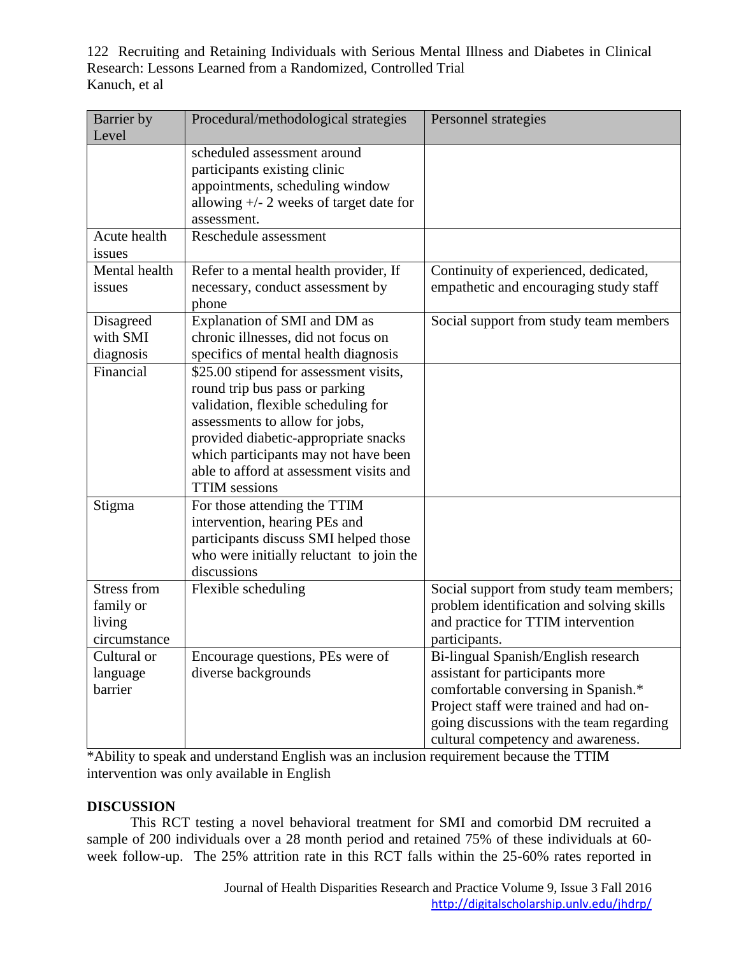| Barrier by<br>Level                                | Procedural/methodological strategies                                                                                                                                                                                                                                                                 | Personnel strategies                                                                                                                                                                                                                       |
|----------------------------------------------------|------------------------------------------------------------------------------------------------------------------------------------------------------------------------------------------------------------------------------------------------------------------------------------------------------|--------------------------------------------------------------------------------------------------------------------------------------------------------------------------------------------------------------------------------------------|
|                                                    | scheduled assessment around<br>participants existing clinic<br>appointments, scheduling window<br>allowing $+/- 2$ weeks of target date for<br>assessment.                                                                                                                                           |                                                                                                                                                                                                                                            |
| Acute health<br>issues                             | Reschedule assessment                                                                                                                                                                                                                                                                                |                                                                                                                                                                                                                                            |
| Mental health<br>issues                            | Refer to a mental health provider, If<br>necessary, conduct assessment by<br>phone                                                                                                                                                                                                                   | Continuity of experienced, dedicated,<br>empathetic and encouraging study staff                                                                                                                                                            |
| Disagreed<br>with SMI<br>diagnosis                 | Explanation of SMI and DM as<br>chronic illnesses, did not focus on<br>specifics of mental health diagnosis                                                                                                                                                                                          | Social support from study team members                                                                                                                                                                                                     |
| Financial                                          | \$25.00 stipend for assessment visits,<br>round trip bus pass or parking<br>validation, flexible scheduling for<br>assessments to allow for jobs,<br>provided diabetic-appropriate snacks<br>which participants may not have been<br>able to afford at assessment visits and<br><b>TTIM</b> sessions |                                                                                                                                                                                                                                            |
| Stigma                                             | For those attending the TTIM<br>intervention, hearing PEs and<br>participants discuss SMI helped those<br>who were initially reluctant to join the<br>discussions                                                                                                                                    |                                                                                                                                                                                                                                            |
| Stress from<br>family or<br>living<br>circumstance | Flexible scheduling                                                                                                                                                                                                                                                                                  | Social support from study team members;<br>problem identification and solving skills<br>and practice for TTIM intervention<br>participants.                                                                                                |
| Cultural or<br>language<br>barrier                 | Encourage questions, PEs were of<br>diverse backgrounds                                                                                                                                                                                                                                              | Bi-lingual Spanish/English research<br>assistant for participants more<br>comfortable conversing in Spanish.*<br>Project staff were trained and had on-<br>going discussions with the team regarding<br>cultural competency and awareness. |

\*Ability to speak and understand English was an inclusion requirement because the TTIM intervention was only available in English

#### **DISCUSSION**

This RCT testing a novel behavioral treatment for SMI and comorbid DM recruited a sample of 200 individuals over a 28 month period and retained 75% of these individuals at 60 week follow-up. The 25% attrition rate in this RCT falls within the 25-60% rates reported in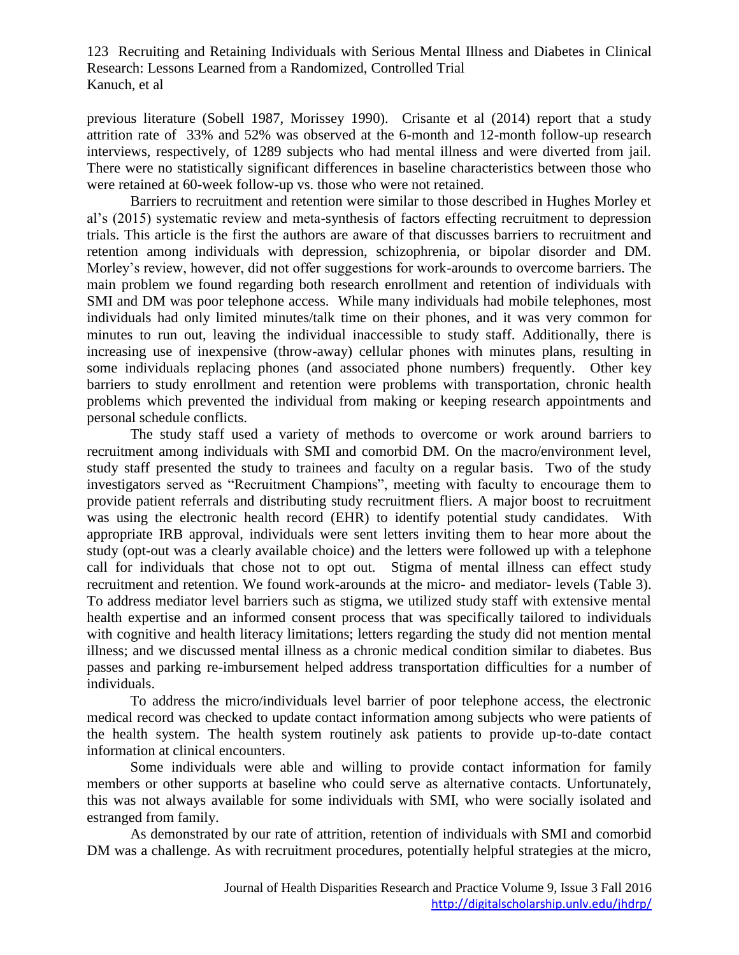previous literature (Sobell 1987, Morissey 1990). Crisante et al (2014) report that a study attrition rate of 33% and 52% was observed at the 6-month and 12-month follow-up research interviews, respectively, of 1289 subjects who had mental illness and were diverted from jail. There were no statistically significant differences in baseline characteristics between those who were retained at 60-week follow-up vs. those who were not retained.

Barriers to recruitment and retention were similar to those described in Hughes Morley et al's (2015) systematic review and meta-synthesis of factors effecting recruitment to depression trials. This article is the first the authors are aware of that discusses barriers to recruitment and retention among individuals with depression, schizophrenia, or bipolar disorder and DM. Morley's review, however, did not offer suggestions for work-arounds to overcome barriers. The main problem we found regarding both research enrollment and retention of individuals with SMI and DM was poor telephone access. While many individuals had mobile telephones, most individuals had only limited minutes/talk time on their phones, and it was very common for minutes to run out, leaving the individual inaccessible to study staff. Additionally, there is increasing use of inexpensive (throw-away) cellular phones with minutes plans, resulting in some individuals replacing phones (and associated phone numbers) frequently. Other key barriers to study enrollment and retention were problems with transportation, chronic health problems which prevented the individual from making or keeping research appointments and personal schedule conflicts.

The study staff used a variety of methods to overcome or work around barriers to recruitment among individuals with SMI and comorbid DM. On the macro/environment level, study staff presented the study to trainees and faculty on a regular basis. Two of the study investigators served as "Recruitment Champions", meeting with faculty to encourage them to provide patient referrals and distributing study recruitment fliers. A major boost to recruitment was using the electronic health record (EHR) to identify potential study candidates. With appropriate IRB approval, individuals were sent letters inviting them to hear more about the study (opt-out was a clearly available choice) and the letters were followed up with a telephone call for individuals that chose not to opt out. Stigma of mental illness can effect study recruitment and retention. We found work-arounds at the micro- and mediator- levels (Table 3). To address mediator level barriers such as stigma, we utilized study staff with extensive mental health expertise and an informed consent process that was specifically tailored to individuals with cognitive and health literacy limitations; letters regarding the study did not mention mental illness; and we discussed mental illness as a chronic medical condition similar to diabetes. Bus passes and parking re-imbursement helped address transportation difficulties for a number of individuals.

To address the micro/individuals level barrier of poor telephone access, the electronic medical record was checked to update contact information among subjects who were patients of the health system. The health system routinely ask patients to provide up-to-date contact information at clinical encounters.

Some individuals were able and willing to provide contact information for family members or other supports at baseline who could serve as alternative contacts. Unfortunately, this was not always available for some individuals with SMI, who were socially isolated and estranged from family.

As demonstrated by our rate of attrition, retention of individuals with SMI and comorbid DM was a challenge. As with recruitment procedures, potentially helpful strategies at the micro,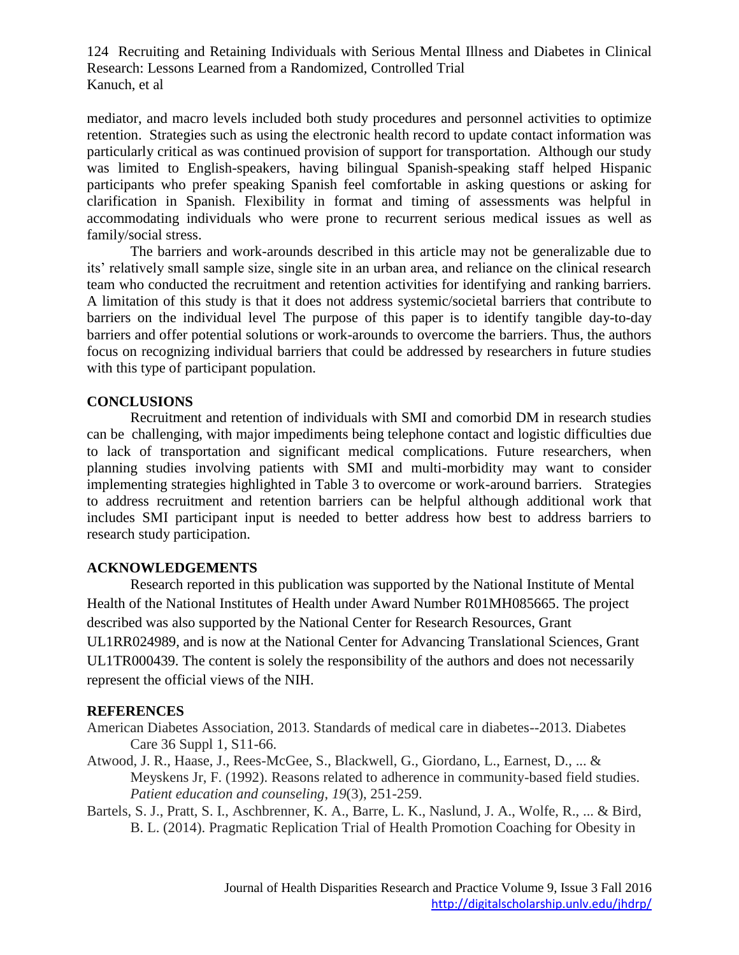mediator, and macro levels included both study procedures and personnel activities to optimize retention. Strategies such as using the electronic health record to update contact information was particularly critical as was continued provision of support for transportation. Although our study was limited to English-speakers, having bilingual Spanish-speaking staff helped Hispanic participants who prefer speaking Spanish feel comfortable in asking questions or asking for clarification in Spanish. Flexibility in format and timing of assessments was helpful in accommodating individuals who were prone to recurrent serious medical issues as well as family/social stress.

The barriers and work-arounds described in this article may not be generalizable due to its' relatively small sample size, single site in an urban area, and reliance on the clinical research team who conducted the recruitment and retention activities for identifying and ranking barriers. A limitation of this study is that it does not address systemic/societal barriers that contribute to barriers on the individual level The purpose of this paper is to identify tangible day-to-day barriers and offer potential solutions or work-arounds to overcome the barriers. Thus, the authors focus on recognizing individual barriers that could be addressed by researchers in future studies with this type of participant population.

#### **CONCLUSIONS**

Recruitment and retention of individuals with SMI and comorbid DM in research studies can be challenging, with major impediments being telephone contact and logistic difficulties due to lack of transportation and significant medical complications. Future researchers, when planning studies involving patients with SMI and multi-morbidity may want to consider implementing strategies highlighted in Table 3 to overcome or work-around barriers. Strategies to address recruitment and retention barriers can be helpful although additional work that includes SMI participant input is needed to better address how best to address barriers to research study participation.

#### **ACKNOWLEDGEMENTS**

Research reported in this publication was supported by the National Institute of Mental Health of the National Institutes of Health under Award Number R01MH085665. The project described was also supported by the National Center for Research Resources, Grant UL1RR024989, and is now at the National Center for Advancing Translational Sciences, Grant UL1TR000439. The content is solely the responsibility of the authors and does not necessarily represent the official views of the NIH.

#### **REFERENCES**

- American Diabetes Association, 2013. Standards of medical care in diabetes--2013. Diabetes Care 36 Suppl 1, S11-66.
- Atwood, J. R., Haase, J., Rees-McGee, S., Blackwell, G., Giordano, L., Earnest, D., ... & Meyskens Jr, F. (1992). Reasons related to adherence in community-based field studies. *Patient education and counseling*, *19*(3), 251-259.
- Bartels, S. J., Pratt, S. I., Aschbrenner, K. A., Barre, L. K., Naslund, J. A., Wolfe, R., ... & Bird, B. L. (2014). Pragmatic Replication Trial of Health Promotion Coaching for Obesity in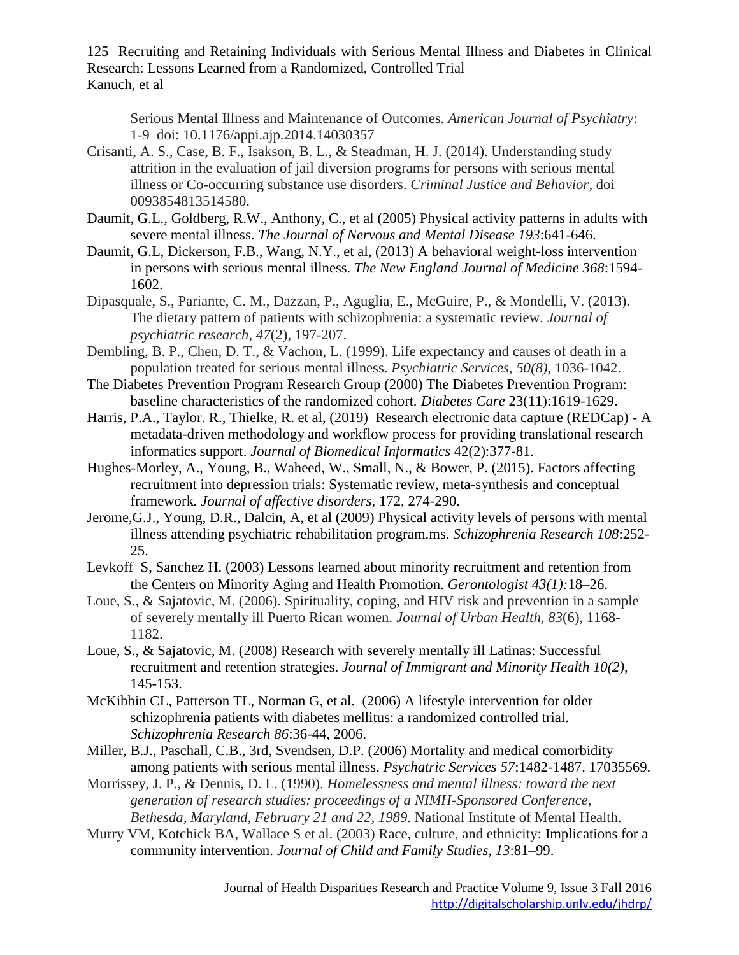Serious Mental Illness and Maintenance of Outcomes. *American Journal of Psychiatry*: 1-9 doi: 10.1176/appi.ajp.2014.14030357

- Crisanti, A. S., Case, B. F., Isakson, B. L., & Steadman, H. J. (2014). Understanding study attrition in the evaluation of jail diversion programs for persons with serious mental illness or Co-occurring substance use disorders. *Criminal Justice and Behavior*, doi 0093854813514580.
- Daumit, G.L., Goldberg, R.W., Anthony, C., et al (2005) Physical activity patterns in adults with severe mental illness. *The Journal of Nervous and Mental Disease 193*:641-646.
- Daumit, G.L, Dickerson, F.B., Wang, N.Y., et al, (2013) A behavioral weight-loss intervention in persons with serious mental illness. *The New England Journal of Medicine 368*:1594- 1602.
- Dipasquale, S., Pariante, C. M., Dazzan, P., Aguglia, E., McGuire, P., & Mondelli, V. (2013). The dietary pattern of patients with schizophrenia: a systematic review. *Journal of psychiatric research*, *47*(2), 197-207.
- Dembling, B. P., Chen, D. T., & Vachon, L. (1999). Life expectancy and causes of death in a population treated for serious mental illness. *Psychiatric Services*, *50(8),* 1036-1042.
- The Diabetes Prevention Program Research Group (2000) The Diabetes Prevention Program: baseline characteristics of the randomized cohort*. Diabetes Care* 23(11):1619-1629.
- Harris, P.A., Taylor. R., Thielke, R. et al, (2019) Research electronic data capture (REDCap) A metadata-driven methodology and workflow process for providing translational research informatics support. *Journal of Biomedical Informatics* 42(2):377-81.
- Hughes-Morley, A., Young, B., Waheed, W., Small, N., & Bower, P. (2015). Factors affecting recruitment into depression trials: Systematic review, meta-synthesis and conceptual framework*. Journal of affective disorders*, 172, 274-290.
- Jerome,G.J., Young, D.R., Dalcin, A, et al (2009) Physical activity levels of persons with mental illness attending psychiatric rehabilitation program.ms*. Schizophrenia Research 108*:252- 25.
- Levkoff S, Sanchez H. (2003) Lessons learned about minority recruitment and retention from the Centers on Minority Aging and Health Promotion. *Gerontologist 43(1):*18–26.
- Loue, S., & Sajatovic, M. (2006). Spirituality, coping, and HIV risk and prevention in a sample of severely mentally ill Puerto Rican women. *Journal of Urban Health*, *83*(6), 1168- 1182.
- Loue, S., & Sajatovic, M. (2008) Research with severely mentally ill Latinas: Successful recruitment and retention strategies. *Journal of Immigrant and Minority Health 10(2)*, 145-153.
- McKibbin CL, Patterson TL, Norman G, et al. (2006) A lifestyle intervention for older schizophrenia patients with diabetes mellitus: a randomized controlled trial. *Schizophrenia Research 86*:36-44, 2006.
- Miller, B.J., Paschall, C.B., 3rd, Svendsen, D.P. (2006) Mortality and medical comorbidity among patients with serious mental illness. *Psychatric Services 57*:1482-1487. 17035569.
- Morrissey, J. P., & Dennis, D. L. (1990). *Homelessness and mental illness: toward the next generation of research studies: proceedings of a NIMH-Sponsored Conference, Bethesda, Maryland, February 21 and 22, 1989*. National Institute of Mental Health.
- Murry VM, Kotchick BA, Wallace S et al. (2003) Race, culture, and ethnicity: Implications for a community intervention. *Journal of Child and Family Studies, 13*:81–99.